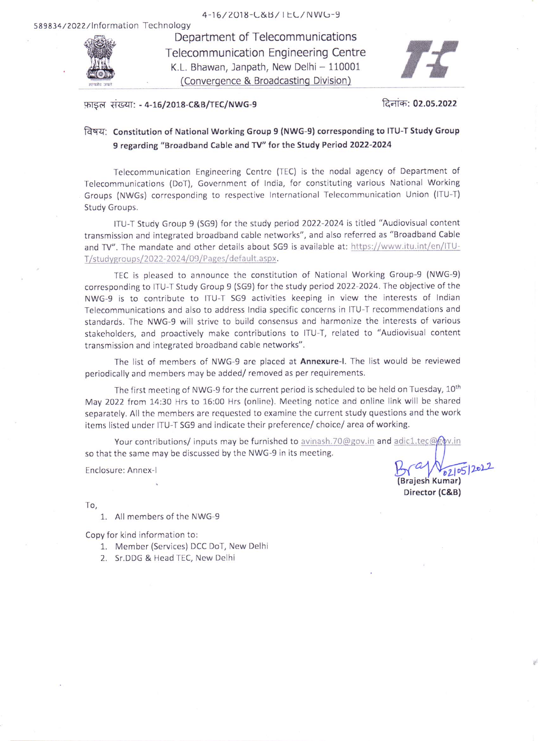

Department of Telecommunications **Telecommunication Engineering Centre** K.L. Bhawan, Janpath, New Delhi - 110001 (Convergence & Broadcasting Division)



## फ़ाइल संख्या: - 4-16/2018-C&B/TEC/NWG-9

दिनांक: 02.05.2022

## विषय: Constitution of National Working Group 9 (NWG-9) corresponding to ITU-T Study Group 9 regarding "Broadband Cable and TV" for the Study Period 2022-2024

Telecommunication Engineering Centre (TEC) is the nodal agency of Department of Telecommunications (DoT), Government of India, for constituting various National Working Groups (NWGs) corresponding to respective International Telecommunication Union (ITU-T) Study Groups.

ITU-T Study Group 9 (SG9) for the study period 2022-2024 is titled "Audiovisual content transmission and integrated broadband cable networks", and also referred as "Broadband Cable and TV". The mandate and other details about SG9 is available at: https://www.itu.int/en/ITU-T/studygroups/2022-2024/09/Pages/default.aspx.

TEC is pleased to announce the constitution of National Working Group-9 (NWG-9) corresponding to ITU-T Study Group 9 (SG9) for the study period 2022-2024. The objective of the NWG-9 is to contribute to ITU-T SG9 activities keeping in view the interests of Indian Telecommunications and also to address India specific concerns in ITU-T recommendations and standards. The NWG-9 will strive to build consensus and harmonize the interests of various stakeholders, and proactively make contributions to ITU-T, related to "Audiovisual content transmission and integrated broadband cable networks".

The list of members of NWG-9 are placed at Annexure-I. The list would be reviewed periodically and members may be added/removed as per requirements.

The first meeting of NWG-9 for the current period is scheduled to be held on Tuesday, 10<sup>th</sup> May 2022 from 14:30 Hrs to 16:00 Hrs (online). Meeting notice and online link will be shared separately. All the members are requested to examine the current study questions and the work items listed under ITU-T SG9 and indicate their preference/ choice/ area of working.

Your contributions/ inputs may be furnished to avinash.70@gov.in and adic1.tec@gov.in so that the same may be discussed by the NWG-9 in its meeting.

Enclosure: Annex-I

02/05/2022 Brajesh Kumar) Director (C&B)

To,

1. All members of the NWG-9

Copy for kind information to:

- 1. Member (Services) DCC DoT, New Delhi
- 2. Sr.DDG & Head TEC, New Delhi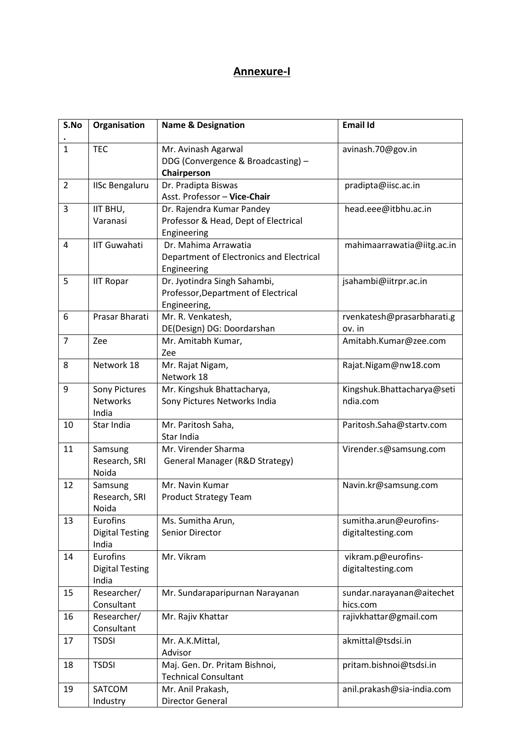## **Annexure-I**

| S.No           | Organisation                                | <b>Name &amp; Designation</b>                                                       | <b>Email Id</b>                              |
|----------------|---------------------------------------------|-------------------------------------------------------------------------------------|----------------------------------------------|
| $\mathbf{1}$   | <b>TEC</b>                                  | Mr. Avinash Agarwal<br>DDG (Convergence & Broadcasting) -<br>Chairperson            | avinash.70@gov.in                            |
| $\overline{2}$ | <b>IISc Bengaluru</b>                       | Dr. Pradipta Biswas<br>Asst. Professor - Vice-Chair                                 | pradipta@iisc.ac.in                          |
| 3              | IIT BHU,<br>Varanasi                        | Dr. Rajendra Kumar Pandey<br>Professor & Head, Dept of Electrical<br>Engineering    | head.eee@itbhu.ac.in                         |
| 4              | <b>IIT Guwahati</b>                         | Dr. Mahima Arrawatia<br>Department of Electronics and Electrical<br>Engineering     | mahimaarrawatia@iitg.ac.in                   |
| 5              | <b>IIT Ropar</b>                            | Dr. Jyotindra Singh Sahambi,<br>Professor, Department of Electrical<br>Engineering, | jsahambi@iitrpr.ac.in                        |
| 6              | Prasar Bharati                              | Mr. R. Venkatesh,<br>DE(Design) DG: Doordarshan                                     | rvenkatesh@prasarbharati.g<br>ov. in         |
| $\overline{7}$ | Zee                                         | Mr. Amitabh Kumar,<br>Zee                                                           | Amitabh.Kumar@zee.com                        |
| 8              | Network 18                                  | Mr. Rajat Nigam,<br>Network 18                                                      | Rajat.Nigam@nw18.com                         |
| 9              | Sony Pictures<br><b>Networks</b><br>India   | Mr. Kingshuk Bhattacharya,<br>Sony Pictures Networks India                          | Kingshuk.Bhattacharya@seti<br>ndia.com       |
| 10             | Star India                                  | Mr. Paritosh Saha,<br>Star India                                                    | Paritosh.Saha@startv.com                     |
| 11             | Samsung<br>Research, SRI<br>Noida           | Mr. Virender Sharma<br>General Manager (R&D Strategy)                               | Virender.s@samsung.com                       |
| 12             | Samsung<br>Research, SRI<br>Noida           | Mr. Navin Kumar<br><b>Product Strategy Team</b>                                     | Navin.kr@samsung.com                         |
| 13             | Eurofins<br><b>Digital Testing</b><br>India | Ms. Sumitha Arun,<br>Senior Director                                                | sumitha.arun@eurofins-<br>digitaltesting.com |
| 14             | Eurofins<br><b>Digital Testing</b><br>India | Mr. Vikram                                                                          | vikram.p@eurofins-<br>digitaltesting.com     |
| 15             | Researcher/<br>Consultant                   | Mr. Sundaraparipurnan Narayanan                                                     | sundar.narayanan@aitechet<br>hics.com        |
| 16             | Researcher/<br>Consultant                   | Mr. Rajiv Khattar                                                                   | rajivkhattar@gmail.com                       |
| 17             | <b>TSDSI</b>                                | Mr. A.K.Mittal,<br>Advisor                                                          | akmittal@tsdsi.in                            |
| 18             | <b>TSDSI</b>                                | Maj. Gen. Dr. Pritam Bishnoi,<br><b>Technical Consultant</b>                        | pritam.bishnoi@tsdsi.in                      |
| 19             | SATCOM<br>Industry                          | Mr. Anil Prakash,<br>Director General                                               | anil.prakash@sia-india.com                   |